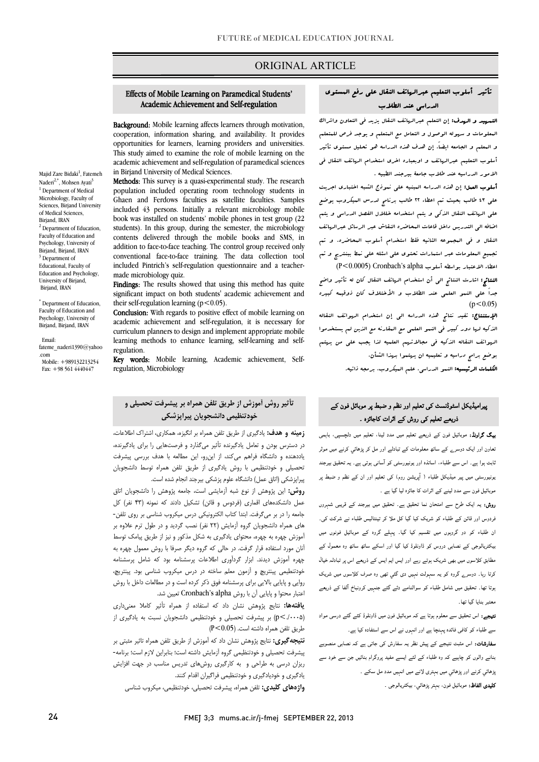## ORIGINAL ARTICLE

## Effects of Mobile Learning on Paramedical Students' Academic Achievement and Self-regulation

Ī

Background: Mobile learning affects learners through motivation, cooperation, information sharing, and availability. It provides This study aimed to examine the role of mobile learning on the academic achievement and self-regulation of paramedical sciences opportunities for learners, learning providers and universities. in Birjand University of Medical Sciences.

in birjand University of Medical Sciences.<br>**Methods:** This survey is a quasi-experimental study. The research population included operating room technology students in Ghaen and Ferdows faculties as satellite faculties. Samples book was installed on students' mobile phones in test group (22 students). In this group, during the semester, the microbiology contents delivered through the mobile books and SMS, in conventional face-to-face training. The data collection tool included Pintrich's self-regulation questionnaire and a teacherincluded 43 persons. Initially a relevant microbiology mobile addition to face-to-face teaching. The control group received only made microbiology quiz.

made incrobiology quiz.<br>**Findings:** The results showed that using this method has quite significant impact on both students' academic achievement and their self-regulation learning  $(p<0.05)$ .

 academic achievement and self-regulation, it is necessary for curriculum planners to design and implement appropriate mobile learning methods to enhance learning, self-learning and self-Conclusion: With regards to positive effect of mobile learning on regulation.

Key words: Mobile learning, Academic achievement, Selfregulation, Microbiology

# **خودتنظیمی دانشجویان پیراپزشکی تأثیر روش آموزش از طریق تلفن همراه بر پیشرفت تحصیلی و**

 **زمینه و هدف:** یادگیري از طریق تلفن همراه بر انگیزه، همکاري، اشتراك اطلاعات، در دسترس بودن و تعامل یادگیرنده تأثیر میگذارد و فرصتهایی را براي یادگیرنده، تحصیلی و خودتنظیمی با روش یادگیري از طریق تلفن همراه توسط دانشجویان پیراپزشکی (اتاق عمل) دانشگاه علوم پزشکی بیرجند انجام شده است. یاددهنده و دانشگاه فراهم میکند، از اینرو، این مطالعه با هدف بررسی پیشرفت

 **روش:** این پژوهش از نوع شبه آزمایشی است، جامعه پژوهش را دانشجویان اتاق عمل دانشکدههاي اقماري (فردوس و قائن) تشکیل دادند که نمونه (43 نفر) کل جامعه را در بر میگرفت. ابتدا کتاب الکترونیکی درس میکروب شناسی بر روي تلفن- هاي همراه دانشجویان گروه آزمایش (22 نفر) نصب گردید و در طول ترم علاوه بر آموزش چهره به چهره، محتواي یادگیري به شکل مذکور و نیز از طریق پیامک توسط چهره آموزش دیدند. ابزار گردآوري اطلاعات پرسشنامه بود که شامل پرسشنامه خودتنطیمی پینتریچ و آزمون معلم ساخته در درس میکروب شناسی بود. پینتریچ، روایی و پایایی بالایی براي پرسشنامه فوق ذکر کرده است و در مطالعات داخل با روش اعتبار محتوا و پایایی آن با روش Cronbach's alpha تعیین شد. آنان مورد استفاده قرار گرفت. در حالی که گروه دیگر صرفا با روش معمول چهره به

 **یافتهها:** نتایج پژوهش نشان داد که استفاده از همراه تأثیر کاملا معنیداري (./0005>p (بر پیشرفت تحصیلی و خودتنظیمی دانشجویان نسبت به یادگیري از طریق تلفن همراه داشته است. (0.05>P (

 **نتیجهگیري:** نتایج پژوهش نشان داد که آموزش از طریق تلفن همراه تاثیر مثبتی بر پیسرت تحقیقی و تومسیقی بروه رسیس مست. سب بنبرین درم سب برمد<br>ریزان درسی به طراحی و آبه کارگیری روشهای تدریس مناسب در جهت افزایش یادگیري و خودیادگیري و خودتنظیمی فراگیران اقدام کنند. پیشرفت تحصیلی و خودتنظیمی گروه آزمایش داشته است؛ بنابراین لازم است؛ برنامه-

**واژههاي کلیدي:** تلفن همراه، پیشرفت تحصیلی، خودتنظیمی، میکروب شناسی

## تأثیر أسلوب التعلیم عبرالهاتف النقال علی رفع المستوي الدراسی عند الطلاب

֬֘֝֬

 التمهید و الهدف: إن التعلم عبرالهاتف النقال یزید فی التعاون واشراك المعلومات و سهوله الوصول و التعامل مع المتعلم و یوجد فرص للمتعلم و المعلم و الجامعه ایضا.ً إن هدف هذه الدراسه هو تحلیل مستوي تأثیر أسلوب التعلیم عبرالهاتف و اوبعباره اخري استخدام الهاتف النقال فی الامور الدراسیه عند طلاب جامعۀ بیرجند الطبیه .

 أسلوب العمل: إن هذه الدراسه المبنیه علی نموذج الشبه اختباري اجریت علی 43 طالب بحیث تم اعطاء 22 طالب برنامج لدرس المیکروب یوضع علی الهاتف النقال الذکی و یتم استخدامه خللال الفصل الدراسی و یتم اضافه الی التدریس داخل قاعات المحاضره النقاش عبر الرسائل عبرالهاتف النقال و فی المجموعه الثانیه فقط استخدام أسلوب المحاضره. و تم تجمیع المعلومات عبر استمارات تحتوي علی اسئله علی نمط ببنتریج و تم اعطاء الاعتبار بواسطه أسلوب Cronbach's alpha (P<0.0005)

 النتائج: اشارت النتائج الی أن استخدام الهاتف النقال کان له تأثیر واضح جداً علی النمو العلمی عند الطلاب و الأختلاف کان ذوقیمه کبیره  $(p<0.05)$ 

ا**لإستنتاج:** تفید نتائج هذه الدراسه ال<sub>ی ب</sub>ان استخدام الهواتف النقاله الذکیه لها دور کبیر فی النمو العلمی مع المقارنه مع الذین لم یستخدموا الهواتف النقاله الذکیه فی مجالاتهم العلمیه لذا یجب علی من یهتم بوضع برامج دراسیه و تعلیمیه ان یهتموا بهذا الشأن.

الکلمات الرئیسیه: النمو الدراسی، علم المیکروب، برمجه ذاتیه.

## <sub>ہٹ</sub>رامیڈیکل اسٹوڈنسٹ کی تعلیم اور نظم و ضبط پر موبائل فون کے<br>۔ ذریعے تعلیم کی روش کے اثرات کاجائزہ ۔

**ییگ گراونڈ:** موبائیل فون کے ذریعے تعلیم میں مدد لینا، تعلیم میں دلچسپی، باہمی نعاون اور ایک دوسرے کے ساتھ معلومات کے تبادلے اور مل کر پڑھائی کرنے میں موثر نابت ہوا ہے۔ اس سے طلباء، اساتذہ اور یونیورسٹی کو آسانی ہوتی ہے۔ یہ تحقیق بیرجند برنیورسٹی میں پیر میڈیکل طلباء ( آپریشن روم) کی تعلیم اور ان کے نظم و ضبط پر موبائیل فون سے مدد لینے کے اثرات کا جائزہ لیا گیا ہے ۔

.<br>ر**وش:** یہ ایک طرح سے امتحان نما تحقیق ہے۔ تحقیق میں بیرجند کے قریبی شہروں نردوس اور قائن کے طلباء کو شریک کیا گیا کل ملا کر تینتالیس طلباء نے شرکت کی۔ .<br>ان طلباء کو دو گروہوں میں تقسیم کیا گیا۔ پہلے گروہ کے موبائیل فونوں میں ۔<br>بیکٹریالوجی کے نصابی دروس کو ڈاونلوڈ کیا گیا اور اسکے ساتھ ساتھ وہ معمول کے ۔<br>مطابق کلاسوں میں بھی شریک ہوتے رہے اور ایس ایم ایس کے ذریعے اس پر تبادلہ خیال Í کرتا رہا۔ دوسرے گروہ کو یہ سہولت نہیں دی گئي تھی وہ صرف کلاسوں میں شریک<br>۔ ۔<br>وتا تھا۔ تحقیق میں شامل طلباء کو سوالنامے دئے گئے جنہیں کرونباخ آلفا کے ذریعے ۔<br>بعثیہ بنایا گیا تھا۔

**تیجے:** اس تحقیق سے معلوم ہوتا ہے کہ موبائیل فون میں ڈاونلوڈ کئے گئے درسی مواد<br>۔ سے طلباء کو کافی فائدہ پہنچا ہے اور انہوں نے اس سے استفادہ کیا ہے۔

**سفارشات:** اس مثبت نتیجے کے پیش نظر یہ سفارش کی جاتی ہے کہ نصابی منصوبے بنانے والوں کو چاہیے کہ وہ طلباء کے لئے ایسے مفید پروگرام بنائیں جن سے خود سے بڑھائي کرنے اور پڑھائي ميں بہتری لانے ميں انہيں مدد مل سکے ۔ **کليدی الفاظ:** موبائيل فون، بىہتر پڑھائىي، بيكٹريالوجى ۔

Majid Zare Bidaki<sup>1</sup>, Fatemeh Naderi<sup>2,\*</sup>, Mohsen Ayati<sup>3</sup> <sup>1</sup> Department of Medical Microbiology, Faculty of Sciences, Birjand University of Medical Sciences, Birjand, IRAN <sup>2</sup> Department of Education, Faculty of Education and Psychology, University of Birjand, Birjand, IRAN <sup>3</sup> Department of Educational, Faculty of Education and Psychology, University of Birjand, Birjand, IRAN

\* Department of Education, Faculty of Education and Psychology, University of Birjand, Birjand, IRAN

 Email: fateme\_naderi1390@yahoo .com Mobile: +989132213254 Fax:  $+98\,561\,4440447$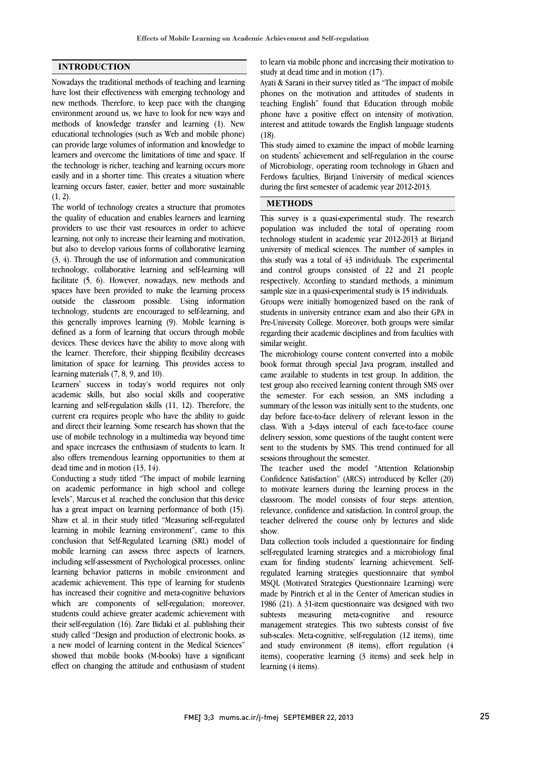#### **INTRODUCTION**

Nowadays the traditional methods of teaching and learning have lost their effectiveness with emerging technology and new methods. Therefore, to keep pace with the changing environment around us, we have to look for new ways and methods of knowledge transfer and learning (1). New educational technologies (such as Web and mobile phone) can provide large volumes of information and knowledge to learners and overcome the limitations of time and space. If the technology is richer, teaching and learning occurs more easily and in a shorter time. This creates a situation where learning occurs faster, easier, better and more sustainable  $(1, 2)$ .

The world of technology creates a structure that promotes the quality of education and enables learners and learning providers to use their vast resources in order to achieve learning, not only to increase their learning and motivation, but also to develop various forms of collaborative learning (3, 4). Through the use of information and communication technology, collaborative learning and self-learning will facilitate (5, 6). However, nowadays, new methods and spaces have been provided to make the learning process outside the classroom possible. Using information technology, students are encouraged to self-learning, and this generally improves learning (9). Mobile learning is defined as a form of learning that occurs through mobile devices. These devices have the ability to move along with the learner. Therefore, their shipping flexibility decreases limitation of space for learning. This provides access to learning materials (7, 8, 9, and 10).

Learners' success in today's world requires not only academic skills, but also social skills and cooperative learning and self-regulation skills (11, 12). Therefore, the current era requires people who have the ability to guide and direct their learning. Some research has shown that the use of mobile technology in a multimedia way beyond time and space increases the enthusiasm of students to learn. It also offers tremendous learning opportunities to them at dead time and in motion (13, 14).

Conducting a study titled "The impact of mobile learning on academic performance in high school and college levels", Marcus et al. reached the conclusion that this device has a great impact on learning performance of both (15). Shaw et al. in their study titled "Measuring self-regulated learning in mobile learning environment", came to this conclusion that Self-Regulated Learning (SRL) model of mobile learning can assess three aspects of learners, including self-assessment of Psychological processes, online learning behavior patterns in mobile environment and academic achievement. This type of learning for students has increased their cognitive and meta-cognitive behaviors which are components of self-regulation; moreover, students could achieve greater academic achievement with their self-regulation (16). Zare Bidaki et al. publishing their study called "Design and production of electronic books, as a new model of learning content in the Medical Sciences" showed that mobile books (M-books) have a significant effect on changing the attitude and enthusiasm of student  to learn via mobile phone and increasing their motivation to study at dead time and in motion (17).

 Ayati & Sarani in their survey titled as "The impact of mobile phones on the motivation and attitudes of students in phone have a positive effect on intensity of motivation, interest and attitude towards the English language students (18). teaching English" found that Education through mobile

 This study aimed to examine the impact of mobile learning of Microbiology, operating room technology in Ghaen and Ferdows faculties, Birjand University of medical sciences during the first semester of academic year 2012-2013. on students' achievement and self-regulation in the course

## **METHODS**

 This survey is a quasi-experimental study. The research population was included the total of operating room technology student in academic year 2012-2013 at Birjand university of medical sciences. The number of samples in and control groups consisted of 22 and 21 people respectively. According to standard methods, a minimum sample size in a quasi-experimental study is 15 individuals. this study was a total of 43 individuals. The experimental

 Groups were initially homogenized based on the rank of Pre-University College. Moreover, both groups were similar regarding their academic disciplines and from faculties with similar weight. students in university entrance exam and also their GPA in

 The microbiology course content converted into a mobile came available to students in test group. In addition, the test group also received learning content through SMS over the semester. For each session, an SMS including a summary of the lesson was initially sent to the students, one class. With a 3-days interval of each face-to-face course delivery session, some questions of the taught content were sent to the students by SMS. This trend continued for all sessions throughout the semester. book format through special Java program, installed and day before face-to-face delivery of relevant lesson in the

 Confidence Satisfaction" (ARCS) introduced by Keller (20) to motivate learners during the learning process in the classroom. The model consists of four steps: attention, relevance, confidence and satisfaction. In control group, the show. The teacher used the model "Attention Relationship teacher delivered the course only by lectures and slide

 Data collection tools included a questionnaire for finding self-regulated learning strategies and a microbiology final exam for finding students' learning achievement. Self- MSQL (Motivated Strategies Questionnaire Learning) were made by Pintrich et al in the Center of American studies in 1986 (21). A 31-item questionnaire was designed with two subtests measuring meta-cognitive and resource sub-scales: Meta-cognitive, self-regulation (12 items), time and study environment (8 items), effort regulation (4 items), cooperative learning (3 items) and seek help in learning (4 items). regulated learning strategies questionnaire that symbol management strategies. This two subtests consist of five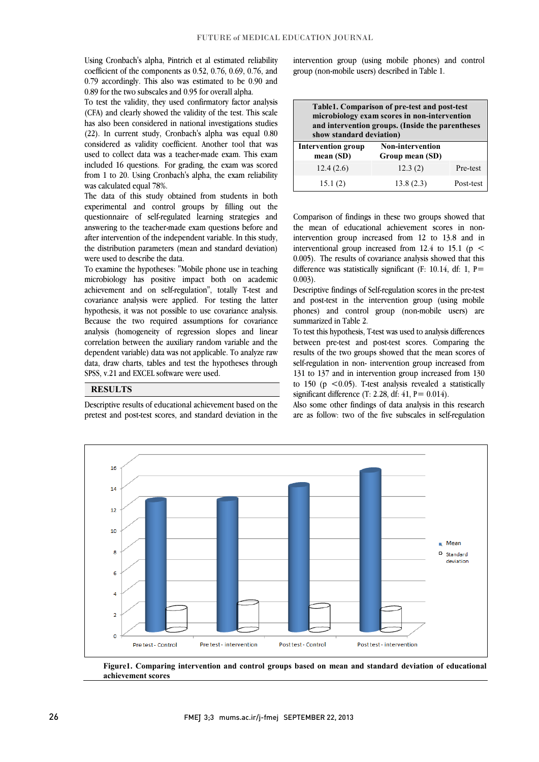Using Cronbach's alpha, Pintrich et al estimated reliability coefficient of the components as 0.52, 0.76, 0.69, 0.76, and 0.79 accordingly. This also was estimated to be 0.90 and 0.89 for the two subscales and 0.95 for overall alpha.

 To test the validity, they used confirmatory factor analysis (CFA) and clearly showed the validity of the test. This scale has also been considered in national investigations studies (22). In current study, Cronbach's alpha was equal 0.80 used to collect data was a teacher-made exam. This exam included 16 questions. For grading, the exam was scored from 1 to 20. Using Cronbach's alpha, the exam reliability considered as validity coefficient. Another tool that was was calculated equal 78%.

 experimental and control groups by filling out the questionnaire of self-regulated learning strategies and answering to the teacher-made exam questions before and after intervention of the independent variable. In this study, the distribution parameters (mean and standard deviation) The data of this study obtained from students in both were used to describe the data.

 To examine the hypotheses: "Mobile phone use in teaching microbiology has positive impact both on academic achievement and on self-regulation", totally T-test and hypothesis, it was not possible to use covariance analysis. Because the two required assumptions for covariance analysis (homogeneity of regression slopes and linear correlation between the auxiliary random variable and the data, draw charts, tables and test the hypotheses through covariance analysis were applied. For testing the latter dependent variable) data was not applicable. To analyze raw SPSS, v.21 and EXCEL software were used.

#### **RESULTS**

 pretest and post-test scores, and standard deviation in the Descriptive results of educational achievement based on the

֬֘֒  $\overline{a}$ 

 intervention group (using mobile phones) and control group (non-mobile users) described in Table 1.

| Table1. Comparison of pre-test and post-test<br>microbiology exam scores in non-intervention<br>and intervention groups. (Inside the parentheses<br>show standard deviation) |                                            |           |  |
|------------------------------------------------------------------------------------------------------------------------------------------------------------------------------|--------------------------------------------|-----------|--|
| <b>Intervention group</b><br>mean $(SD)$                                                                                                                                     | <b>Non-intervention</b><br>Group mean (SD) |           |  |
| 12.4(2.6)                                                                                                                                                                    | 12.3(2)                                    | Pre-test  |  |
| 15.1(2)                                                                                                                                                                      | 13.8(2.3)                                  | Post-test |  |

 Comparison of findings in these two groups showed that the mean of educational achievement scores in non- intervention group increased from 12 to 13.8 and in interventional group increased from  $12.4$  to  $15.1$  (p < difference was statistically significant (F: 10.14, df: 1, P= 0.005). The results of covariance analysis showed that this 0.003).

 Descriptive findings of Self-regulation scores in the pre-test phones) and control group (non-mobile users) are and post-test in the intervention group (using mobile summarized in Table 2.

 To test this hypothesis, T-test was used to analysis differences between pre-test and post-test scores. Comparing the self-regulation in non- intervention group increased from 131 to 137 and in intervention group increased from 130 to 150  $(p \le 0.05)$ . T-test analysis revealed a statistically results of the two groups showed that the mean scores of significant difference (T: 2.28, df: 41,  $P = 0.014$ ).

are as follow: two of the five subscales in self-regulation Also some other findings of data analysis in this research



 **Figure1. Comparing intervention and control groups based on mean and standard deviation of educational achievement scores**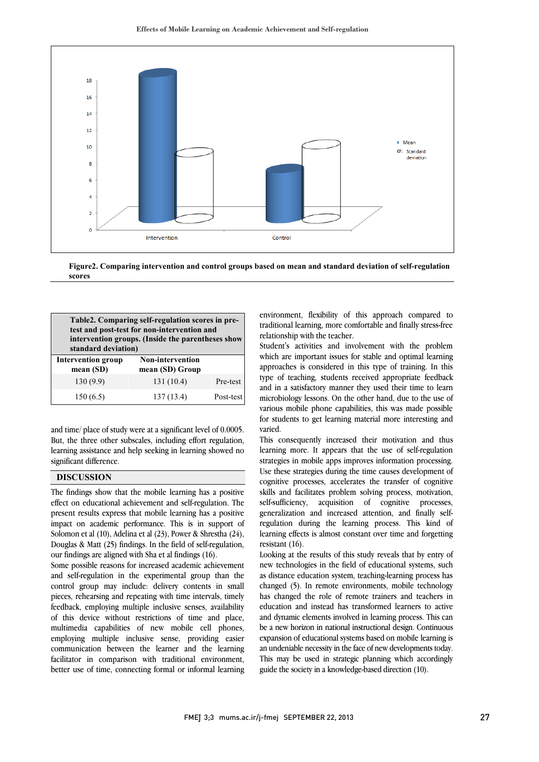

 **Figure2. Comparing intervention and control groups based on mean and standard deviation of self-regulation**   $\overline{a}$ **scores**

| Table2. Comparing self-regulation scores in pre-<br>test and post-test for non-intervention and<br>intervention groups. (Inside the parentheses show<br>standard deviation) |                                            |           |
|-----------------------------------------------------------------------------------------------------------------------------------------------------------------------------|--------------------------------------------|-----------|
| <b>Intervention group</b><br>mean (SD)                                                                                                                                      | <b>Non-intervention</b><br>mean (SD) Group |           |
| 130(9.9)                                                                                                                                                                    | 131 (10.4)                                 | Pre-test  |
| 150(6.5)                                                                                                                                                                    | 137(13.4)                                  | Post-test |

and time/ place of study were at a significant level of 0.0005. But, the three other subscales, including effort regulation, learning assistance and help seeking in learning showed no significant difference.

### **DISCUSSION**

The findings show that the mobile learning has a positive effect on educational achievement and self-regulation. The present results express that mobile learning has a positive impact on academic performance. This is in support of Solomon et al (10), Adelina et al (23), Power & Shrestha (24), Douglas & Matt (25) findings. In the field of self-regulation, our findings are aligned with Sha et al findings (16).

Some possible reasons for increased academic achievement and self-regulation in the experimental group than the control group may include: delivery contents in small pieces, rehearsing and repeating with time intervals, timely feedback, employing multiple inclusive senses, availability of this device without restrictions of time and place, multimedia capabilities of new mobile cell phones, employing multiple inclusive sense, providing easier communication between the learner and the learning facilitator in comparison with traditional environment, better use of time, connecting formal or informal learning

 environment, flexibility of this approach compared to relationship with the teacher. traditional learning, more comfortable and finally stress-free

 Student's activities and involvement with the problem which are important issues for stable and optimal learning approaches is considered in this type of training. In this and in a satisfactory manner they used their time to learn microbiology lessons. On the other hand, due to the use of various mobile phone capabilities, this was made possible for students to get learning material more interesting and type of teaching, students received appropriate feedback varied.

 This consequently increased their motivation and thus learning more. It appears that the use of self-regulation strategies in mobile apps improves information processing. Use these strategies during the time causes development of skills and facilitates problem solving process, motivation, self-sufficiency, acquisition of cognitive processes, generalization and increased attention, and finally self- regulation during the learning process. This kind of resistant (16). cognitive processes, accelerates the transfer of cognitive learning effects is almost constant over time and forgetting

 Looking at the results of this study reveals that by entry of new technologies in the field of educational systems, such as distance education system, teaching-learning process has has changed the role of remote trainers and teachers in education and instead has transformed learners to active and dynamic elements involved in learning process. This can expansion of educational systems based on mobile learning is an undeniable necessity in the face of new developments today. This may be used in strategic planning which accordingly guide the society in a knowledge-based direction (10). changed (5). In remote environments, mobile technology be a new horizon in national instructional design. Continuous